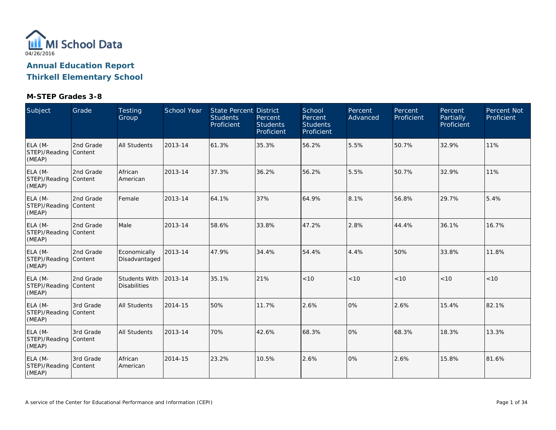

**Thirkell Elementary School**

| Subject                                    | Grade     | <b>Testing</b><br>Group              | School Year | State Percent District<br><b>Students</b><br>Proficient | Percent<br><b>Students</b><br>Proficient | School<br>Percent<br><b>Students</b><br>Proficient | Percent<br>Advanced | Percent<br>Proficient | Percent<br>Partially<br>Proficient | Percent Not<br>Proficient |
|--------------------------------------------|-----------|--------------------------------------|-------------|---------------------------------------------------------|------------------------------------------|----------------------------------------------------|---------------------|-----------------------|------------------------------------|---------------------------|
| ELA (M-<br>STEP)/Reading Content<br>(MEAP) | 2nd Grade | <b>All Students</b>                  | 2013-14     | 61.3%                                                   | 35.3%                                    | 56.2%                                              | 5.5%                | 50.7%                 | 32.9%                              | 11%                       |
| ELA (M-<br>STEP)/Reading Content<br>(MEAP) | 2nd Grade | African<br>American                  | 2013-14     | 37.3%                                                   | 36.2%                                    | 56.2%                                              | 5.5%                | 50.7%                 | 32.9%                              | 11%                       |
| ELA (M-<br>STEP)/Reading Content<br>(MEAP) | 2nd Grade | Female                               | 2013-14     | 64.1%                                                   | 37%                                      | 64.9%                                              | 8.1%                | 56.8%                 | 29.7%                              | 5.4%                      |
| ELA (M-<br>STEP)/Reading Content<br>(MEAP) | 2nd Grade | Male                                 | 2013-14     | 58.6%                                                   | 33.8%                                    | 47.2%                                              | 2.8%                | 44.4%                 | 36.1%                              | 16.7%                     |
| ELA (M-<br>STEP)/Reading Content<br>(MEAP) | 2nd Grade | Economically<br>Disadvantaged        | 2013-14     | 47.9%                                                   | 34.4%                                    | 54.4%                                              | 4.4%                | 50%                   | 33.8%                              | 11.8%                     |
| ELA (M-<br>STEP)/Reading Content<br>(MEAP) | 2nd Grade | Students With<br><b>Disabilities</b> | 2013-14     | 35.1%                                                   | 21%                                      | < 10                                               | < 10                | < 10                  | < 10                               | < 10                      |
| ELA (M-<br>STEP)/Reading Content<br>(MEAP) | 3rd Grade | <b>All Students</b>                  | 2014-15     | 50%                                                     | 11.7%                                    | 2.6%                                               | 0%                  | 2.6%                  | 15.4%                              | 82.1%                     |
| ELA (M-<br>STEP)/Reading Content<br>(MEAP) | 3rd Grade | <b>All Students</b>                  | 2013-14     | 70%                                                     | 42.6%                                    | 68.3%                                              | 0%                  | 68.3%                 | 18.3%                              | 13.3%                     |
| ELA (M-<br>STEP)/Reading Content<br>(MEAP) | 3rd Grade | African<br>American                  | 2014-15     | 23.2%                                                   | 10.5%                                    | 2.6%                                               | 0%                  | 2.6%                  | 15.8%                              | 81.6%                     |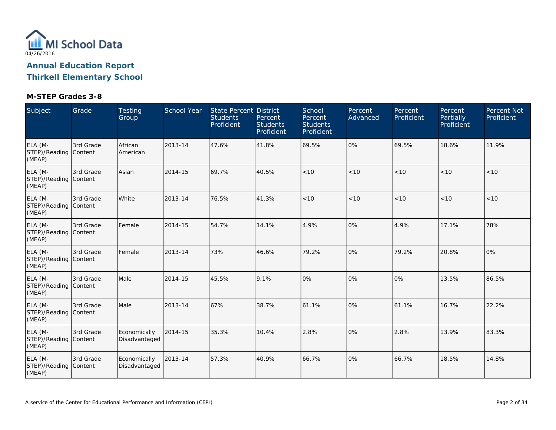

**Thirkell Elementary School**

| Subject                                    | Grade     | Testing<br>Group              | <b>School Year</b> | State Percent District<br><b>Students</b><br>Proficient | Percent<br><b>Students</b><br>Proficient | School<br>Percent<br><b>Students</b><br>Proficient | Percent<br>Advanced | Percent<br>Proficient | Percent<br>Partially<br>Proficient | Percent Not<br>Proficient |
|--------------------------------------------|-----------|-------------------------------|--------------------|---------------------------------------------------------|------------------------------------------|----------------------------------------------------|---------------------|-----------------------|------------------------------------|---------------------------|
| ELA (M-<br>STEP)/Reading Content<br>(MEAP) | 3rd Grade | African<br>American           | 2013-14            | 47.6%                                                   | 41.8%                                    | 69.5%                                              | 0%                  | 69.5%                 | 18.6%                              | 11.9%                     |
| ELA (M-<br>STEP)/Reading Content<br>(MEAP) | 3rd Grade | Asian                         | 2014-15            | 69.7%                                                   | 40.5%                                    | < 10                                               | < 10                | < 10                  | < 10                               | < 10                      |
| ELA (M-<br>STEP)/Reading Content<br>(MEAP) | 3rd Grade | White                         | 2013-14            | 76.5%                                                   | 41.3%                                    | < 10                                               | < 10                | < 10                  | < 10                               | < 10                      |
| ELA (M-<br>STEP)/Reading Content<br>(MEAP) | 3rd Grade | Female                        | 2014-15            | 54.7%                                                   | 14.1%                                    | 4.9%                                               | 0%                  | 4.9%                  | 17.1%                              | 78%                       |
| ELA (M-<br>STEP)/Reading Content<br>(MEAP) | 3rd Grade | Female                        | 2013-14            | 73%                                                     | 46.6%                                    | 79.2%                                              | 0%                  | 79.2%                 | 20.8%                              | $ 0\%$                    |
| ELA (M-<br>STEP)/Reading Content<br>(MEAP) | 3rd Grade | Male                          | 2014-15            | 45.5%                                                   | 9.1%                                     | 0%                                                 | 0%                  | 0%                    | 13.5%                              | 86.5%                     |
| ELA (M-<br>STEP)/Reading Content<br>(MEAP) | 3rd Grade | Male                          | 2013-14            | 67%                                                     | 38.7%                                    | 61.1%                                              | 0%                  | 61.1%                 | 16.7%                              | 22.2%                     |
| ELA (M-<br>STEP)/Reading Content<br>(MEAP) | 3rd Grade | Economically<br>Disadvantaged | 2014-15            | 35.3%                                                   | 10.4%                                    | 2.8%                                               | 0%                  | 2.8%                  | 13.9%                              | 83.3%                     |
| ELA (M-<br>STEP)/Reading Content<br>(MEAP) | 3rd Grade | Economically<br>Disadvantaged | 2013-14            | 57.3%                                                   | 40.9%                                    | 66.7%                                              | 0%                  | 66.7%                 | 18.5%                              | 14.8%                     |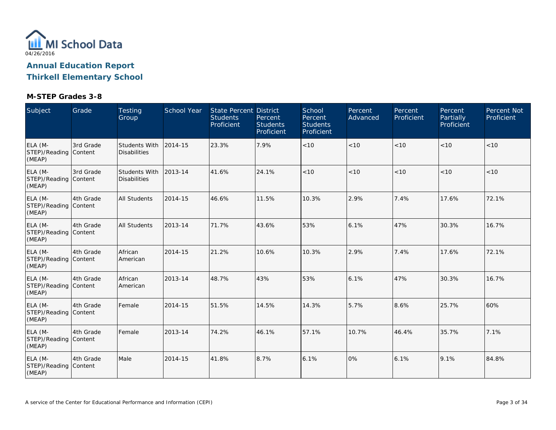

**Thirkell Elementary School**

| Subject                                    | Grade     | <b>Testing</b><br>Group                     | <b>School Year</b> | State Percent District<br><b>Students</b><br>Proficient | Percent<br><b>Students</b><br>Proficient | School<br>Percent<br><b>Students</b><br>Proficient | Percent<br>Advanced | Percent<br>Proficient | Percent<br>Partially<br>Proficient | Percent Not<br>Proficient |
|--------------------------------------------|-----------|---------------------------------------------|--------------------|---------------------------------------------------------|------------------------------------------|----------------------------------------------------|---------------------|-----------------------|------------------------------------|---------------------------|
| ELA (M-<br>STEP)/Reading Content<br>(MEAP) | 3rd Grade | <b>Students With</b><br><b>Disabilities</b> | 2014-15            | 23.3%                                                   | 7.9%                                     | < 10                                               | < 10                | < 10                  | < 10                               | < 10                      |
| ELA (M-<br>STEP)/Reading Content<br>(MEAP) | 3rd Grade | <b>Students With</b><br><b>Disabilities</b> | 2013-14            | 41.6%                                                   | 24.1%                                    | < 10                                               | < 10                | < 10                  | < 10                               | < 10                      |
| ELA (M-<br>STEP)/Reading Content<br>(MEAP) | 4th Grade | <b>All Students</b>                         | 2014-15            | 46.6%                                                   | 11.5%                                    | 10.3%                                              | 2.9%                | 7.4%                  | 17.6%                              | 72.1%                     |
| ELA (M-<br>STEP)/Reading Content<br>(MEAP) | 4th Grade | <b>All Students</b>                         | 2013-14            | 71.7%                                                   | 43.6%                                    | 53%                                                | 6.1%                | 47%                   | 30.3%                              | 16.7%                     |
| ELA (M-<br>STEP)/Reading Content<br>(MEAP) | 4th Grade | African<br>American                         | 2014-15            | 21.2%                                                   | 10.6%                                    | 10.3%                                              | 2.9%                | 7.4%                  | 17.6%                              | 72.1%                     |
| ELA (M-<br>STEP)/Reading Content<br>(MEAP) | 4th Grade | African<br>American                         | 2013-14            | 48.7%                                                   | 43%                                      | 53%                                                | 6.1%                | 47%                   | 30.3%                              | 16.7%                     |
| ELA (M-<br>STEP)/Reading Content<br>(MEAP) | 4th Grade | Female                                      | 2014-15            | 51.5%                                                   | 14.5%                                    | 14.3%                                              | 5.7%                | 8.6%                  | 25.7%                              | 60%                       |
| ELA (M-<br>STEP)/Reading Content<br>(MEAP) | 4th Grade | Female                                      | 2013-14            | 74.2%                                                   | 46.1%                                    | 57.1%                                              | 10.7%               | 46.4%                 | 35.7%                              | 7.1%                      |
| ELA (M-<br>STEP)/Reading Content<br>(MEAP) | 4th Grade | Male                                        | 2014-15            | 41.8%                                                   | 8.7%                                     | 6.1%                                               | 0%                  | 6.1%                  | 9.1%                               | 84.8%                     |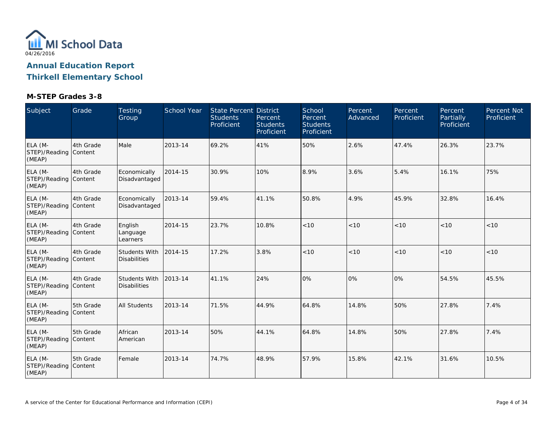

**Thirkell Elementary School**

| Subject                                    | Grade     | <b>Testing</b><br>Group                     | <b>School Year</b> | State Percent District<br><b>Students</b><br>Proficient | Percent<br><b>Students</b><br>Proficient | School<br>Percent<br><b>Students</b><br>Proficient | Percent<br>Advanced | Percent<br>Proficient | Percent<br>Partially<br>Proficient | Percent Not<br>Proficient |
|--------------------------------------------|-----------|---------------------------------------------|--------------------|---------------------------------------------------------|------------------------------------------|----------------------------------------------------|---------------------|-----------------------|------------------------------------|---------------------------|
| ELA (M-<br>STEP)/Reading Content<br>(MEAP) | 4th Grade | Male                                        | 2013-14            | 69.2%                                                   | 41%                                      | 50%                                                | 2.6%                | 47.4%                 | 26.3%                              | 23.7%                     |
| ELA (M-<br>STEP)/Reading Content<br>(MEAP) | 4th Grade | Economically<br>Disadvantaged               | 2014-15            | 30.9%                                                   | 10%                                      | 8.9%                                               | 3.6%                | 5.4%                  | 16.1%                              | 75%                       |
| ELA (M-<br>STEP)/Reading Content<br>(MEAP) | 4th Grade | Economically<br>Disadvantaged               | 2013-14            | 59.4%                                                   | 41.1%                                    | 50.8%                                              | 4.9%                | 45.9%                 | 32.8%                              | 16.4%                     |
| ELA (M-<br>STEP)/Reading Content<br>(MEAP) | 4th Grade | English<br>Language<br>Learners             | 2014-15            | 23.7%                                                   | 10.8%                                    | < 10                                               | < 10                | < 10                  | < 10                               | < 10                      |
| ELA (M-<br>STEP)/Reading Content<br>(MEAP) | 4th Grade | <b>Students With</b><br><b>Disabilities</b> | 2014-15            | 17.2%                                                   | 3.8%                                     | < 10                                               | < 10                | < 10                  | < 10                               | < 10                      |
| ELA (M-<br>STEP)/Reading Content<br>(MEAP) | 4th Grade | Students With<br><b>Disabilities</b>        | 2013-14            | 41.1%                                                   | 24%                                      | 0%                                                 | 0%                  | 0%                    | 54.5%                              | 45.5%                     |
| ELA (M-<br>STEP)/Reading Content<br>(MEAP) | 5th Grade | <b>All Students</b>                         | 2013-14            | 71.5%                                                   | 44.9%                                    | 64.8%                                              | 14.8%               | 50%                   | 27.8%                              | 7.4%                      |
| ELA (M-<br>STEP)/Reading Content<br>(MEAP) | 5th Grade | African<br>American                         | 2013-14            | 50%                                                     | 44.1%                                    | 64.8%                                              | 14.8%               | 50%                   | 27.8%                              | 7.4%                      |
| ELA (M-<br>STEP)/Reading Content<br>(MEAP) | 5th Grade | Female                                      | 2013-14            | 74.7%                                                   | 48.9%                                    | 57.9%                                              | 15.8%               | 42.1%                 | 31.6%                              | 10.5%                     |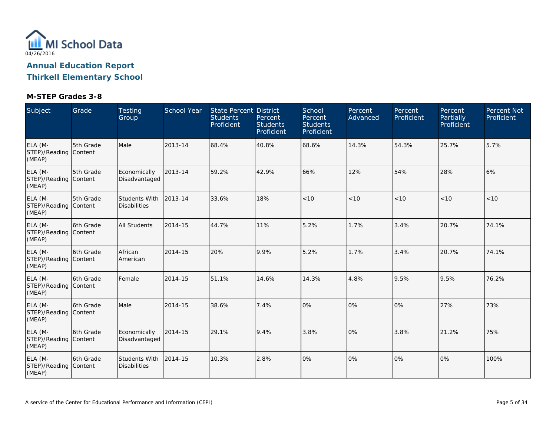

**Thirkell Elementary School**

| Subject                                    | Grade      | <b>Testing</b><br>Group              | <b>School Year</b> | State Percent District<br><b>Students</b><br>Proficient | Percent<br><b>Students</b><br>Proficient | School<br>Percent<br><b>Students</b><br>Proficient | Percent<br>Advanced | Percent<br>Proficient | Percent<br>Partially<br>Proficient | Percent Not<br>Proficient |
|--------------------------------------------|------------|--------------------------------------|--------------------|---------------------------------------------------------|------------------------------------------|----------------------------------------------------|---------------------|-----------------------|------------------------------------|---------------------------|
| ELA (M-<br>STEP)/Reading Content<br>(MEAP) | 5th Grade  | Male                                 | 2013-14            | 68.4%                                                   | 40.8%                                    | 68.6%                                              | 14.3%               | 54.3%                 | 25.7%                              | 5.7%                      |
| ELA (M-<br>STEP)/Reading Content<br>(MEAP) | 5th Grade  | Economically<br>Disadvantaged        | 2013-14            | 59.2%                                                   | 42.9%                                    | 66%                                                | 12%                 | 54%                   | 28%                                | 6%                        |
| ELA (M-<br>STEP)/Reading Content<br>(MEAP) | 5th Grade  | Students With<br><b>Disabilities</b> | 2013-14            | 33.6%                                                   | 18%                                      | < 10                                               | < 10                | < 10                  | < 10                               | < 10                      |
| ELA (M-<br>STEP)/Reading Content<br>(MEAP) | 6th Grade  | <b>All Students</b>                  | 2014-15            | 44.7%                                                   | 11%                                      | 5.2%                                               | 1.7%                | 3.4%                  | 20.7%                              | 74.1%                     |
| ELA (M-<br>STEP)/Reading Content<br>(MEAP) | 6th Grade  | African<br>American                  | 2014-15            | 20%                                                     | 9.9%                                     | 5.2%                                               | 1.7%                | 3.4%                  | 20.7%                              | 74.1%                     |
| ELA (M-<br>STEP)/Reading Content<br>(MEAP) | 6th Grade  | Female                               | 2014-15            | 51.1%                                                   | 14.6%                                    | 14.3%                                              | 4.8%                | 9.5%                  | 9.5%                               | 76.2%                     |
| ELA (M-<br>STEP)/Reading Content<br>(MEAP) | l6th Grade | Male                                 | 2014-15            | 38.6%                                                   | 7.4%                                     | 0%                                                 | 0%                  | 0%                    | 27%                                | 73%                       |
| ELA (M-<br>STEP)/Reading Content<br>(MEAP) | 6th Grade  | Economically<br>Disadvantaged        | 2014-15            | 29.1%                                                   | 9.4%                                     | 3.8%                                               | 0%                  | 3.8%                  | 21.2%                              | 75%                       |
| ELA (M-<br>STEP)/Reading Content<br>(MEAP) | 6th Grade  | Students With<br><b>Disabilities</b> | 2014-15            | 10.3%                                                   | 2.8%                                     | 0%                                                 | 0%                  | 0%                    | 0%                                 | 100%                      |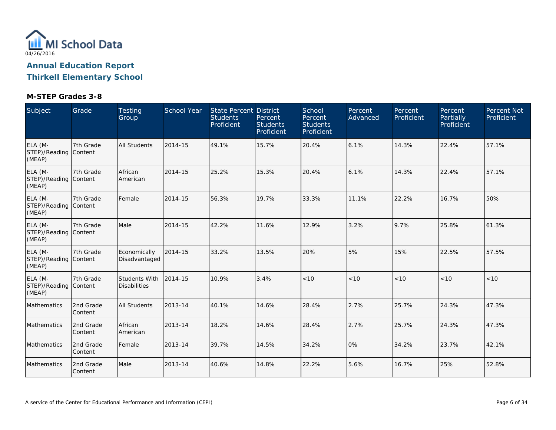

**Thirkell Elementary School**

| Subject                                    | Grade                | <b>Testing</b><br>Group              | <b>School Year</b> | State Percent District<br><b>Students</b><br>Proficient | Percent<br><b>Students</b><br>Proficient | School<br>Percent<br><b>Students</b><br>Proficient | Percent<br>Advanced | Percent<br>Proficient | Percent<br>Partially<br>Proficient | Percent Not<br>Proficient |
|--------------------------------------------|----------------------|--------------------------------------|--------------------|---------------------------------------------------------|------------------------------------------|----------------------------------------------------|---------------------|-----------------------|------------------------------------|---------------------------|
| ELA (M-<br>STEP)/Reading Content<br>(MEAP) | 7th Grade            | <b>All Students</b>                  | 2014-15            | 49.1%                                                   | 15.7%                                    | 20.4%                                              | 6.1%                | 14.3%                 | 22.4%                              | 57.1%                     |
| ELA (M-<br>STEP)/Reading Content<br>(MEAP) | 7th Grade            | African<br>American                  | 2014-15            | 25.2%                                                   | 15.3%                                    | 20.4%                                              | 6.1%                | 14.3%                 | 22.4%                              | 57.1%                     |
| ELA (M-<br>STEP)/Reading Content<br>(MEAP) | 7th Grade            | Female                               | 2014-15            | 56.3%                                                   | 19.7%                                    | 33.3%                                              | 11.1%               | 22.2%                 | 16.7%                              | 50%                       |
| ELA (M-<br>STEP)/Reading Content<br>(MEAP) | 7th Grade            | Male                                 | 2014-15            | 42.2%                                                   | 11.6%                                    | 12.9%                                              | 3.2%                | 9.7%                  | 25.8%                              | 61.3%                     |
| ELA (M-<br>STEP)/Reading Content<br>(MEAP) | 7th Grade            | Economically<br>Disadvantaged        | 2014-15            | 33.2%                                                   | 13.5%                                    | 20%                                                | 5%                  | 15%                   | 22.5%                              | 57.5%                     |
| ELA (M-<br>STEP)/Reading Content<br>(MEAP) | 7th Grade            | Students With<br><b>Disabilities</b> | 2014-15            | 10.9%                                                   | 3.4%                                     | < 10                                               | < 10                | < 10                  | < 10                               | < 10                      |
| Mathematics                                | 2nd Grade<br>Content | <b>All Students</b>                  | 2013-14            | 40.1%                                                   | 14.6%                                    | 28.4%                                              | 2.7%                | 25.7%                 | 24.3%                              | 47.3%                     |
| Mathematics                                | 2nd Grade<br>Content | African<br>American                  | 2013-14            | 18.2%                                                   | 14.6%                                    | 28.4%                                              | 2.7%                | 25.7%                 | 24.3%                              | 47.3%                     |
| Mathematics                                | 2nd Grade<br>Content | Female                               | 2013-14            | 39.7%                                                   | 14.5%                                    | 34.2%                                              | 0%                  | 34.2%                 | 23.7%                              | 42.1%                     |
| Mathematics                                | 2nd Grade<br>Content | Male                                 | 2013-14            | 40.6%                                                   | 14.8%                                    | 22.2%                                              | 5.6%                | 16.7%                 | 25%                                | 52.8%                     |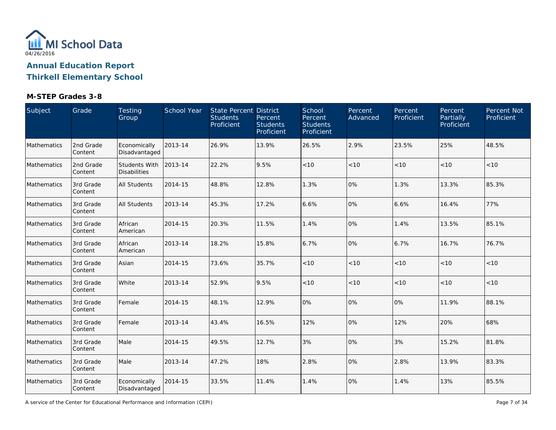

### **Thirkell Elementary School**

| Subject     | Grade                | Testing<br>Group                     | School Year | State Percent District<br><b>Students</b><br>Proficient | Percent<br><b>Students</b><br>Proficient | School<br>Percent<br><b>Students</b><br>Proficient | Percent<br>Advanced | Percent<br>Proficient | Percent<br>Partially<br>Proficient | Percent Not<br>Proficient |
|-------------|----------------------|--------------------------------------|-------------|---------------------------------------------------------|------------------------------------------|----------------------------------------------------|---------------------|-----------------------|------------------------------------|---------------------------|
| Mathematics | 2nd Grade<br>Content | Economically<br>Disadvantaged        | 2013-14     | 26.9%                                                   | 13.9%                                    | 26.5%                                              | 2.9%                | 23.5%                 | 25%                                | 48.5%                     |
| Mathematics | 2nd Grade<br>Content | Students With<br><b>Disabilities</b> | 2013-14     | 22.2%                                                   | 9.5%                                     | < 10                                               | < 10                | < 10                  | < 10                               | < 10                      |
| Mathematics | 3rd Grade<br>Content | <b>All Students</b>                  | 2014-15     | 48.8%                                                   | 12.8%                                    | 1.3%                                               | 0%                  | 1.3%                  | 13.3%                              | 85.3%                     |
| Mathematics | 3rd Grade<br>Content | <b>All Students</b>                  | 2013-14     | 45.3%                                                   | 17.2%                                    | 6.6%                                               | 0%                  | 6.6%                  | 16.4%                              | 77%                       |
| Mathematics | 3rd Grade<br>Content | African<br>American                  | 2014-15     | 20.3%                                                   | 11.5%                                    | 1.4%                                               | 0%                  | 1.4%                  | 13.5%                              | 85.1%                     |
| Mathematics | 3rd Grade<br>Content | African<br>American                  | 2013-14     | 18.2%                                                   | 15.8%                                    | 6.7%                                               | 0%                  | 6.7%                  | 16.7%                              | 76.7%                     |
| Mathematics | 3rd Grade<br>Content | Asian                                | 2014-15     | 73.6%                                                   | 35.7%                                    | < 10                                               | $<10$               | < 10                  | < 10                               | < 10                      |
| Mathematics | 3rd Grade<br>Content | White                                | 2013-14     | 52.9%                                                   | 9.5%                                     | < 10                                               | < 10                | < 10                  | < 10                               | < 10                      |
| Mathematics | 3rd Grade<br>Content | Female                               | 2014-15     | 48.1%                                                   | 12.9%                                    | 0%                                                 | 0%                  | 0%                    | 11.9%                              | 88.1%                     |
| Mathematics | 3rd Grade<br>Content | Female                               | 2013-14     | 43.4%                                                   | 16.5%                                    | 12%                                                | 0%                  | 12%                   | 20%                                | 68%                       |
| Mathematics | 3rd Grade<br>Content | Male                                 | 2014-15     | 49.5%                                                   | 12.7%                                    | 3%                                                 | 0%                  | 3%                    | 15.2%                              | 81.8%                     |
| Mathematics | 3rd Grade<br>Content | Male                                 | 2013-14     | 47.2%                                                   | 18%                                      | 2.8%                                               | 0%                  | 2.8%                  | 13.9%                              | 83.3%                     |
| Mathematics | 3rd Grade<br>Content | Economically<br>Disadvantaged        | 2014-15     | 33.5%                                                   | 11.4%                                    | 1.4%                                               | 0%                  | 1.4%                  | 13%                                | 85.5%                     |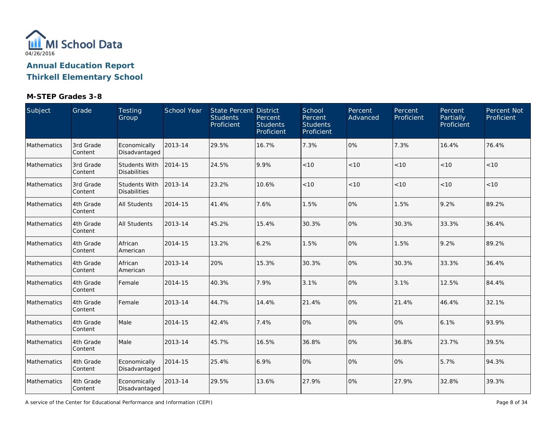

### **Thirkell Elementary School**

| Subject     | Grade                | Testing<br>Group                            | School Year | State Percent District<br><b>Students</b><br>Proficient | Percent<br><b>Students</b><br>Proficient | School<br>Percent<br><b>Students</b><br>Proficient | Percent<br>Advanced | Percent<br>Proficient | Percent<br>Partially<br>Proficient | Percent Not<br>Proficient |
|-------------|----------------------|---------------------------------------------|-------------|---------------------------------------------------------|------------------------------------------|----------------------------------------------------|---------------------|-----------------------|------------------------------------|---------------------------|
| Mathematics | 3rd Grade<br>Content | Economically<br>Disadvantaged               | 2013-14     | 29.5%                                                   | 16.7%                                    | 7.3%                                               | 0%                  | 7.3%                  | 16.4%                              | 76.4%                     |
| Mathematics | 3rd Grade<br>Content | <b>Students With</b><br><b>Disabilities</b> | 2014-15     | 24.5%                                                   | 9.9%                                     | < 10                                               | < 10                | < 10                  | < 10                               | < 10                      |
| Mathematics | 3rd Grade<br>Content | <b>Students With</b><br><b>Disabilities</b> | 2013-14     | 23.2%                                                   | 10.6%                                    | $<10$                                              | < 10                | $<10$                 | < 10                               | $<10$                     |
| Mathematics | 4th Grade<br>Content | All Students                                | 2014-15     | 41.4%                                                   | 7.6%                                     | 1.5%                                               | 0%                  | 1.5%                  | 9.2%                               | 89.2%                     |
| Mathematics | 4th Grade<br>Content | All Students                                | 2013-14     | 45.2%                                                   | 15.4%                                    | 30.3%                                              | 0%                  | 30.3%                 | 33.3%                              | 36.4%                     |
| Mathematics | 4th Grade<br>Content | African<br>American                         | 2014-15     | 13.2%                                                   | 6.2%                                     | 1.5%                                               | 0%                  | 1.5%                  | 9.2%                               | 89.2%                     |
| Mathematics | 4th Grade<br>Content | African<br>American                         | 2013-14     | 20%                                                     | 15.3%                                    | 30.3%                                              | 0%                  | 30.3%                 | 33.3%                              | 36.4%                     |
| Mathematics | 4th Grade<br>Content | Female                                      | 2014-15     | 40.3%                                                   | 7.9%                                     | 3.1%                                               | 0%                  | 3.1%                  | 12.5%                              | 84.4%                     |
| Mathematics | 4th Grade<br>Content | Female                                      | 2013-14     | 44.7%                                                   | 14.4%                                    | 21.4%                                              | 0%                  | 21.4%                 | 46.4%                              | 32.1%                     |
| Mathematics | 4th Grade<br>Content | Male                                        | 2014-15     | 42.4%                                                   | 7.4%                                     | 0%                                                 | 0%                  | 0%                    | 6.1%                               | 93.9%                     |
| Mathematics | 4th Grade<br>Content | Male                                        | 2013-14     | 45.7%                                                   | 16.5%                                    | 36.8%                                              | 0%                  | 36.8%                 | 23.7%                              | 39.5%                     |
| Mathematics | 4th Grade<br>Content | Economically<br>Disadvantaged               | 2014-15     | 25.4%                                                   | 6.9%                                     | 0%                                                 | 0%                  | 0%                    | 5.7%                               | 94.3%                     |
| Mathematics | 4th Grade<br>Content | Economically<br>Disadvantaged               | 2013-14     | 29.5%                                                   | 13.6%                                    | 27.9%                                              | 0%                  | 27.9%                 | 32.8%                              | 39.3%                     |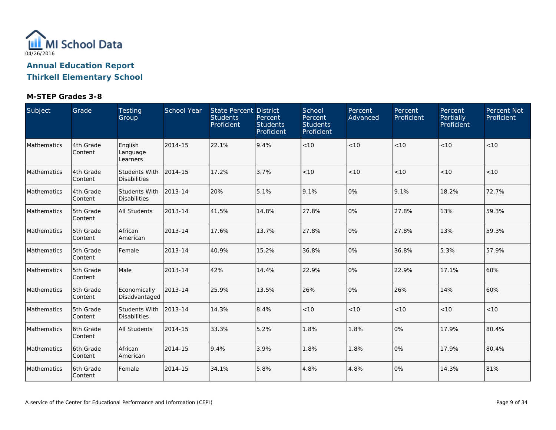

**Thirkell Elementary School**

| Subject     | Grade                 | Testing<br>Group                     | School Year | <b>State Percent District</b><br><b>Students</b><br>Proficient | Percent<br><b>Students</b><br>Proficient | School<br>Percent<br><b>Students</b><br>Proficient | Percent<br>Advanced | Percent<br>Proficient | Percent<br>Partially<br>Proficient | Percent Not<br>Proficient |
|-------------|-----------------------|--------------------------------------|-------------|----------------------------------------------------------------|------------------------------------------|----------------------------------------------------|---------------------|-----------------------|------------------------------------|---------------------------|
| Mathematics | 4th Grade<br>Content  | English<br>Language<br>Learners      | 2014-15     | 22.1%                                                          | 9.4%                                     | < 10                                               | <10                 | < 10                  | < 10                               | < 10                      |
| Mathematics | 4th Grade<br>Content  | Students With<br><b>Disabilities</b> | 2014-15     | 17.2%                                                          | 3.7%                                     | < 10                                               | < 10                | < 10                  | < 10                               | < 10                      |
| Mathematics | 4th Grade<br>Content  | Students With<br><b>Disabilities</b> | 2013-14     | 20%                                                            | 5.1%                                     | 9.1%                                               | 0%                  | 9.1%                  | 18.2%                              | 72.7%                     |
| Mathematics | 5th Grade<br>Content  | <b>All Students</b>                  | 2013-14     | 41.5%                                                          | 14.8%                                    | 27.8%                                              | 0%                  | 27.8%                 | 13%                                | 59.3%                     |
| Mathematics | 5th Grade<br>Content  | African<br>American                  | 2013-14     | 17.6%                                                          | 13.7%                                    | 27.8%                                              | 0%                  | 27.8%                 | 13%                                | 59.3%                     |
| Mathematics | 5th Grade<br> Content | Female                               | 2013-14     | 40.9%                                                          | 15.2%                                    | 36.8%                                              | 0%                  | 36.8%                 | 5.3%                               | 57.9%                     |
| Mathematics | 5th Grade<br>Content  | Male                                 | 2013-14     | 42%                                                            | 14.4%                                    | 22.9%                                              | 0%                  | 22.9%                 | 17.1%                              | 60%                       |
| Mathematics | 5th Grade<br>Content  | Economically<br>Disadvantaged        | 2013-14     | 25.9%                                                          | 13.5%                                    | 26%                                                | 0%                  | 26%                   | 14%                                | 60%                       |
| Mathematics | 5th Grade<br> Content | Students With<br><b>Disabilities</b> | 2013-14     | 14.3%                                                          | 8.4%                                     | < 10                                               | < 10                | < 10                  | < 10                               | < 10                      |
| Mathematics | 6th Grade<br>Content  | <b>All Students</b>                  | 2014-15     | 33.3%                                                          | 5.2%                                     | 1.8%                                               | 1.8%                | 0%                    | 17.9%                              | 80.4%                     |
| Mathematics | 6th Grade<br>Content  | African<br>American                  | 2014-15     | 9.4%                                                           | 3.9%                                     | 1.8%                                               | 1.8%                | 0%                    | 17.9%                              | 80.4%                     |
| Mathematics | 6th Grade<br>Content  | Female                               | 2014-15     | 34.1%                                                          | 5.8%                                     | 4.8%                                               | 4.8%                | 0%                    | 14.3%                              | 81%                       |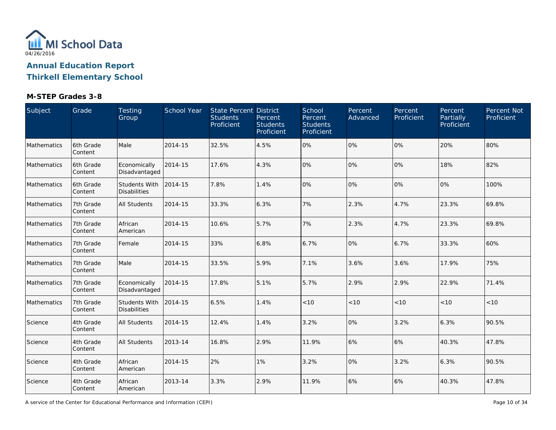

### **Thirkell Elementary School**

| Subject     | Grade                 | Testing<br>Group                            | School Year | <b>State Percent District</b><br><b>Students</b><br>Proficient | Percent<br><b>Students</b><br>Proficient | School<br>Percent<br><b>Students</b><br>Proficient | Percent<br>Advanced | Percent<br>Proficient | Percent<br>Partially<br>Proficient | Percent Not<br>Proficient |
|-------------|-----------------------|---------------------------------------------|-------------|----------------------------------------------------------------|------------------------------------------|----------------------------------------------------|---------------------|-----------------------|------------------------------------|---------------------------|
| Mathematics | 6th Grade<br>Content  | Male                                        | 2014-15     | 32.5%                                                          | 4.5%                                     | 0%                                                 | 0%                  | 0%                    | 20%                                | 80%                       |
| Mathematics | 6th Grade<br>Content  | Economically<br>Disadvantaged               | 2014-15     | 17.6%                                                          | 4.3%                                     | 0%                                                 | 0%                  | 0%                    | 18%                                | 82%                       |
| Mathematics | 6th Grade<br>Content  | <b>Students With</b><br><b>Disabilities</b> | 2014-15     | 7.8%                                                           | 1.4%                                     | 0%                                                 | 0%                  | 0%                    | 0%                                 | 100%                      |
| Mathematics | 7th Grade<br>Content  | <b>All Students</b>                         | 2014-15     | 33.3%                                                          | 6.3%                                     | 7%                                                 | 2.3%                | 4.7%                  | 23.3%                              | 69.8%                     |
| Mathematics | 7th Grade<br>Content  | African<br>American                         | 2014-15     | 10.6%                                                          | 5.7%                                     | 7%                                                 | 2.3%                | 4.7%                  | 23.3%                              | 69.8%                     |
| Mathematics | 7th Grade<br>Content  | Female                                      | 2014-15     | 33%                                                            | 6.8%                                     | 6.7%                                               | 0%                  | 6.7%                  | 33.3%                              | 60%                       |
| Mathematics | 7th Grade<br>Content  | Male                                        | 2014-15     | 33.5%                                                          | 5.9%                                     | 7.1%                                               | 3.6%                | 3.6%                  | 17.9%                              | 75%                       |
| Mathematics | 7th Grade<br>Content  | Economically<br>Disadvantaged               | 2014-15     | 17.8%                                                          | 5.1%                                     | 5.7%                                               | 2.9%                | 2.9%                  | 22.9%                              | 71.4%                     |
| Mathematics | 7th Grade<br>Content  | Students With<br><b>Disabilities</b>        | 2014-15     | 6.5%                                                           | 1.4%                                     | $<10$                                              | < 10                | < 10                  | < 10                               | < 10                      |
| Science     | 4th Grade<br>Content  | <b>All Students</b>                         | 2014-15     | 12.4%                                                          | 1.4%                                     | 3.2%                                               | 0%                  | 3.2%                  | 6.3%                               | 90.5%                     |
| Science     | 4th Grade<br>Content  | <b>All Students</b>                         | 2013-14     | 16.8%                                                          | 2.9%                                     | 11.9%                                              | 6%                  | 6%                    | 40.3%                              | 47.8%                     |
| Science     | 4th Grade<br>Content  | African<br>American                         | 2014-15     | 2%                                                             | 1%                                       | 3.2%                                               | 0%                  | 3.2%                  | 6.3%                               | 90.5%                     |
| Science     | 4th Grade<br> Content | African<br>American                         | 2013-14     | 3.3%                                                           | 2.9%                                     | 11.9%                                              | 6%                  | 6%                    | 40.3%                              | 47.8%                     |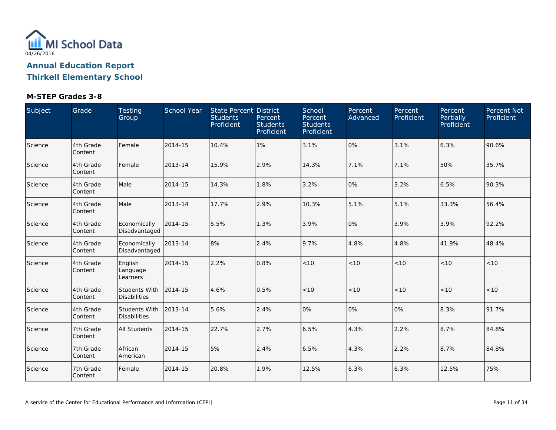

**Thirkell Elementary School**

| Subject | Grade                | Testing<br>Group                            | School Year | State Percent District<br><b>Students</b><br>Proficient | Percent<br><b>Students</b><br>Proficient | School<br>Percent<br><b>Students</b><br>Proficient | Percent<br>Advanced | Percent<br>Proficient | Percent<br>Partially<br>Proficient | Percent Not<br>Proficient |
|---------|----------------------|---------------------------------------------|-------------|---------------------------------------------------------|------------------------------------------|----------------------------------------------------|---------------------|-----------------------|------------------------------------|---------------------------|
| Science | 4th Grade<br>Content | Female                                      | 2014-15     | 10.4%                                                   | 1%                                       | 3.1%                                               | 0%                  | 3.1%                  | 6.3%                               | 90.6%                     |
| Science | 4th Grade<br>Content | Female                                      | 2013-14     | 15.9%                                                   | 2.9%                                     | 14.3%                                              | 7.1%                | 7.1%                  | 50%                                | 35.7%                     |
| Science | 4th Grade<br>Content | Male                                        | 2014-15     | 14.3%                                                   | 1.8%                                     | 3.2%                                               | 0%                  | 3.2%                  | 6.5%                               | 90.3%                     |
| Science | 4th Grade<br>Content | Male                                        | 2013-14     | 17.7%                                                   | 2.9%                                     | 10.3%                                              | 5.1%                | 5.1%                  | 33.3%                              | 56.4%                     |
| Science | 4th Grade<br>Content | Economically<br>Disadvantaged               | 2014-15     | 5.5%                                                    | 1.3%                                     | 3.9%                                               | 0%                  | 3.9%                  | 3.9%                               | 92.2%                     |
| Science | 4th Grade<br>Content | Economically<br>Disadvantaged               | 2013-14     | 8%                                                      | 2.4%                                     | 9.7%                                               | 4.8%                | 4.8%                  | 41.9%                              | 48.4%                     |
| Science | 4th Grade<br>Content | English<br>Language<br>Learners             | 2014-15     | 2.2%                                                    | 0.8%                                     | < 10                                               | < 10                | < 10                  | < 10                               | $<10$                     |
| Science | 4th Grade<br>Content | <b>Students With</b><br><b>Disabilities</b> | 2014-15     | 4.6%                                                    | 0.5%                                     | < 10                                               | < 10                | < 10                  | < 10                               | < 10                      |
| Science | 4th Grade<br>Content | <b>Students With</b><br><b>Disabilities</b> | 2013-14     | 5.6%                                                    | 2.4%                                     | 0%                                                 | 0%                  | 0%                    | 8.3%                               | 91.7%                     |
| Science | 7th Grade<br>Content | <b>All Students</b>                         | 2014-15     | 22.7%                                                   | 2.7%                                     | 6.5%                                               | 4.3%                | 2.2%                  | 8.7%                               | 84.8%                     |
| Science | 7th Grade<br>Content | African<br>American                         | 2014-15     | 5%                                                      | 2.4%                                     | 6.5%                                               | 4.3%                | 2.2%                  | 8.7%                               | 84.8%                     |
| Science | 7th Grade<br>Content | Female                                      | 2014-15     | 20.8%                                                   | 1.9%                                     | 12.5%                                              | 6.3%                | 6.3%                  | 12.5%                              | 75%                       |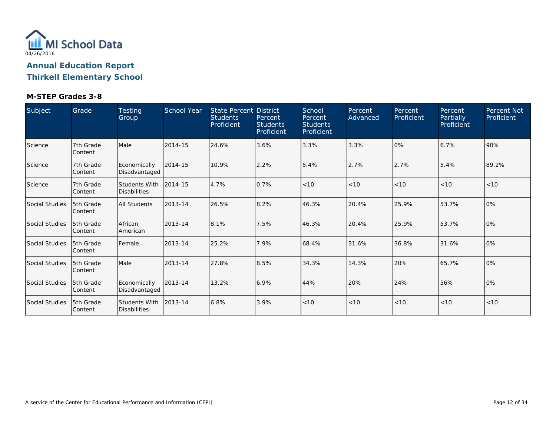

**Thirkell Elementary School**

| Subject        | Grade                 | <b>Testing</b><br>Group              | <b>School Year</b> | State Percent District<br><b>Students</b><br>Proficient | Percent<br><b>Students</b><br>Proficient | School<br>Percent<br><b>Students</b><br>Proficient | Percent<br>Advanced | Percent<br>Proficient | Percent<br>Partially<br>Proficient | Percent Not<br>Proficient |
|----------------|-----------------------|--------------------------------------|--------------------|---------------------------------------------------------|------------------------------------------|----------------------------------------------------|---------------------|-----------------------|------------------------------------|---------------------------|
| Science        | 7th Grade<br> Content | Male                                 | 2014-15            | 24.6%                                                   | 3.6%                                     | 3.3%                                               | 3.3%                | 10%                   | 6.7%                               | 90%                       |
| Science        | 7th Grade<br> Content | Economically<br>Disadvantaged        | 2014-15            | 10.9%                                                   | 2.2%                                     | 5.4%                                               | 2.7%                | 2.7%                  | 5.4%                               | 89.2%                     |
| Science        | 7th Grade<br>Content  | Students With<br><b>Disabilities</b> | 2014-15            | 4.7%                                                    | 0.7%                                     | < 10                                               | < 10                | < 10                  | < 10                               | < 10                      |
| Social Studies | 5th Grade<br> Content | <b>All Students</b>                  | 2013-14            | 26.5%                                                   | 8.2%                                     | 46.3%                                              | 20.4%               | 25.9%                 | 53.7%                              | $ 0\%$                    |
| Social Studies | 5th Grade<br> Content | African<br>American                  | 2013-14            | 8.1%                                                    | 7.5%                                     | 46.3%                                              | 20.4%               | 25.9%                 | 53.7%                              | $ 0\%$                    |
| Social Studies | 5th Grade<br> Content | Female                               | 2013-14            | 25.2%                                                   | 7.9%                                     | 68.4%                                              | 31.6%               | 36.8%                 | 31.6%                              | $ 0\%$                    |
| Social Studies | 5th Grade<br> Content | Male                                 | 2013-14            | 27.8%                                                   | 8.5%                                     | 34.3%                                              | 14.3%               | 20%                   | 65.7%                              | $ 0\%$                    |
| Social Studies | 5th Grade<br> Content | Economically<br>Disadvantaged        | 2013-14            | 13.2%                                                   | 6.9%                                     | 44%                                                | 20%                 | 24%                   | 56%                                | $ 0\%$                    |
| Social Studies | 5th Grade<br> Content | Students With<br><b>Disabilities</b> | 2013-14            | 6.8%                                                    | 3.9%                                     | < 10                                               | < 10                | < 10                  | < 10                               | < 10                      |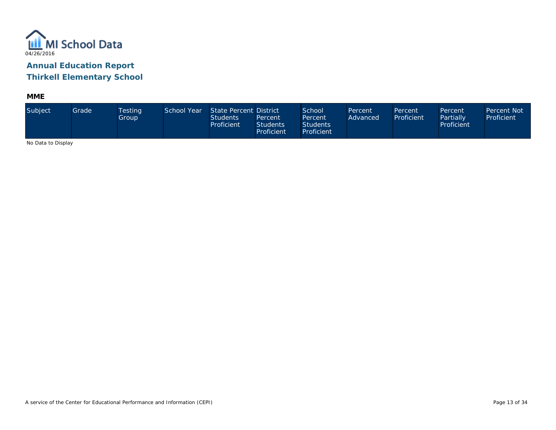

**MME**

| Subject                      | Grade | <b>Testing</b><br>Group | School Year | State Percent District<br><b>Students</b><br>Proficient | Percent<br><b>Students</b><br><b>Proficient</b> | School <sup>1</sup><br>Percent<br><b>Students</b><br>Proficient | Percent<br>Advanced | Percent<br>Proficient | Percent<br>Partially<br>Proficient | Percent Not<br>Proficient |
|------------------------------|-------|-------------------------|-------------|---------------------------------------------------------|-------------------------------------------------|-----------------------------------------------------------------|---------------------|-----------------------|------------------------------------|---------------------------|
| Also Distribute Distribution |       |                         |             |                                                         |                                                 |                                                                 |                     |                       |                                    |                           |

No Data to Display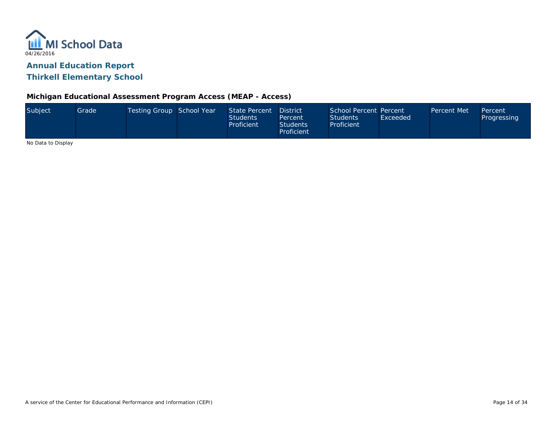

### **Michigan Educational Assessment Program Access (MEAP - Access)**

| Subject                      | Grade <sup>1</sup> | Testing Group School Year | State Percent<br><b>Students</b><br>Proficient | <b>District</b><br>Percent<br><b>Students</b><br>Proficient | School Percent Percent<br><b>Students</b><br>Proficient | Exceeded | Percent Met | Percent<br><b>Progressing</b> |
|------------------------------|--------------------|---------------------------|------------------------------------------------|-------------------------------------------------------------|---------------------------------------------------------|----------|-------------|-------------------------------|
| Also Distribute Distribution |                    |                           |                                                |                                                             |                                                         |          |             |                               |

No Data to Display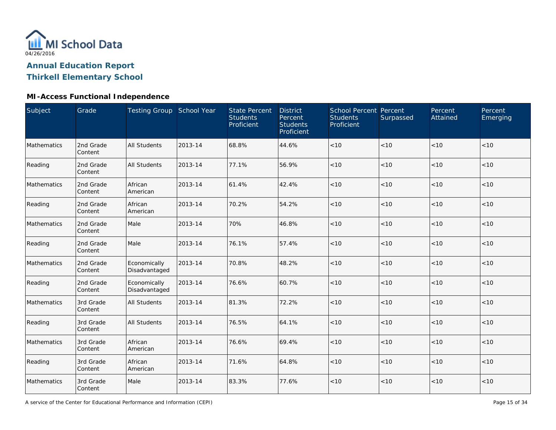

### **Thirkell Elementary School**

### **MI-Access Functional Independence**

| Subject     | Grade                | Testing Group School Year     |         | <b>State Percent</b><br><b>Students</b><br>Proficient | <b>District</b><br>Percent<br><b>Students</b><br>Proficient | <b>School Percent Percent</b><br><b>Students</b><br>Proficient | Surpassed | Percent<br>Attained | Percent<br>Emerging |
|-------------|----------------------|-------------------------------|---------|-------------------------------------------------------|-------------------------------------------------------------|----------------------------------------------------------------|-----------|---------------------|---------------------|
| Mathematics | 2nd Grade<br>Content | <b>All Students</b>           | 2013-14 | 68.8%                                                 | 44.6%                                                       | < 10                                                           | < 10      | < 10                | < 10                |
| Reading     | 2nd Grade<br>Content | <b>All Students</b>           | 2013-14 | 77.1%                                                 | 56.9%                                                       | < 10                                                           | < 10      | < 10                | < 10                |
| Mathematics | 2nd Grade<br>Content | African<br>American           | 2013-14 | 61.4%                                                 | 42.4%                                                       | < 10                                                           | < 10      | < 10                | < 10                |
| Reading     | 2nd Grade<br>Content | African<br>American           | 2013-14 | 70.2%                                                 | 54.2%                                                       | < 10                                                           | < 10      | < 10                | < 10                |
| Mathematics | 2nd Grade<br>Content | Male                          | 2013-14 | 70%                                                   | 46.8%                                                       | < 10                                                           | < 10      | < 10                | < 10                |
| Reading     | 2nd Grade<br>Content | Male                          | 2013-14 | 76.1%                                                 | 57.4%                                                       | $<10$                                                          | <10       | < 10                | $<10$               |
| Mathematics | 2nd Grade<br>Content | Economically<br>Disadvantaged | 2013-14 | 70.8%                                                 | 48.2%                                                       | $<10$                                                          | < 10      | < 10                | $<10$               |
| Reading     | 2nd Grade<br>Content | Economically<br>Disadvantaged | 2013-14 | 76.6%                                                 | 60.7%                                                       | < 10                                                           | < 10      | < 10                | < 10                |
| Mathematics | 3rd Grade<br>Content | <b>All Students</b>           | 2013-14 | 81.3%                                                 | 72.2%                                                       | $<10$                                                          | < 10      | $<10$               | $<10$               |
| Reading     | 3rd Grade<br>Content | <b>All Students</b>           | 2013-14 | 76.5%                                                 | 64.1%                                                       | < 10                                                           | < 10      | < 10                | < 10                |
| Mathematics | 3rd Grade<br>Content | African<br>American           | 2013-14 | 76.6%                                                 | 69.4%                                                       | $<10$                                                          | < 10      | < 10                | $<10$               |
| Reading     | 3rd Grade<br>Content | African<br>American           | 2013-14 | 71.6%                                                 | 64.8%                                                       | $<10$                                                          | < 10      | < 10                | < 10                |
| Mathematics | 3rd Grade<br>Content | Male                          | 2013-14 | 83.3%                                                 | 77.6%                                                       | < 10                                                           | < 10      | < 10                | < 10                |

A service of the Center for Educational Performance and Information (CEPI)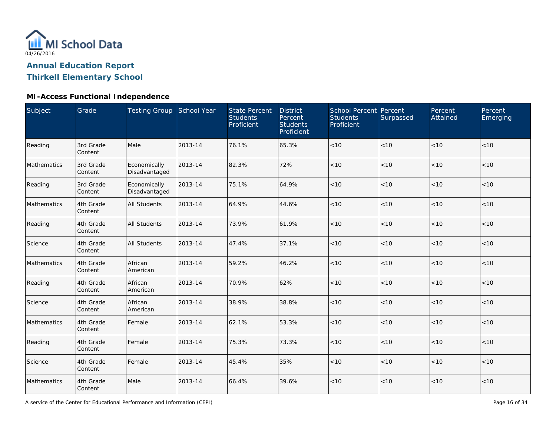

### **Thirkell Elementary School**

### **MI-Access Functional Independence**

| Subject     | Grade                | <b>Testing Group School Year</b> |         | <b>State Percent</b><br><b>Students</b><br>Proficient | <b>District</b><br>Percent<br><b>Students</b><br>Proficient | <b>School Percent Percent</b><br><b>Students</b><br>Proficient | Surpassed | Percent<br>Attained | Percent<br>Emerging |
|-------------|----------------------|----------------------------------|---------|-------------------------------------------------------|-------------------------------------------------------------|----------------------------------------------------------------|-----------|---------------------|---------------------|
| Reading     | 3rd Grade<br>Content | Male                             | 2013-14 | 76.1%                                                 | 65.3%                                                       | $<10$                                                          | < 10      | < 10                | < 10                |
| Mathematics | 3rd Grade<br>Content | Economically<br>Disadvantaged    | 2013-14 | 82.3%                                                 | 72%                                                         | < 10                                                           | < 10      | < 10                | < 10                |
| Reading     | 3rd Grade<br>Content | Economically<br>Disadvantaged    | 2013-14 | 75.1%                                                 | 64.9%                                                       | $<10$                                                          | < 10      | < 10                | < 10                |
| Mathematics | 4th Grade<br>Content | <b>All Students</b>              | 2013-14 | 64.9%                                                 | 44.6%                                                       | $<10$                                                          | <10       | $<10$               | $<10$               |
| Reading     | 4th Grade<br>Content | <b>All Students</b>              | 2013-14 | 73.9%                                                 | 61.9%                                                       | < 10                                                           | < 10      | < 10                | < 10                |
| Science     | 4th Grade<br>Content | <b>All Students</b>              | 2013-14 | 47.4%                                                 | 37.1%                                                       | < 10                                                           | < 10      | < 10                | < 10                |
| Mathematics | 4th Grade<br>Content | African<br>American              | 2013-14 | 59.2%                                                 | 46.2%                                                       | < 10                                                           | < 10      | < 10                | < 10                |
| Reading     | 4th Grade<br>Content | African<br>American              | 2013-14 | 70.9%                                                 | 62%                                                         | < 10                                                           | < 10      | < 10                | $<10$               |
| Science     | 4th Grade<br>Content | African<br>American              | 2013-14 | 38.9%                                                 | 38.8%                                                       | $<10$                                                          | < 10      | < 10                | $<10$               |
| Mathematics | 4th Grade<br>Content | Female                           | 2013-14 | 62.1%                                                 | 53.3%                                                       | $<10$                                                          | < 10      | < 10                | < 10                |
| Reading     | 4th Grade<br>Content | Female                           | 2013-14 | 75.3%                                                 | 73.3%                                                       | $<10$                                                          | < 10      | < 10                | < 10                |
| Science     | 4th Grade<br>Content | Female                           | 2013-14 | 45.4%                                                 | 35%                                                         | $<10$                                                          | < 10      | < 10                | < 10                |
| Mathematics | 4th Grade<br>Content | Male                             | 2013-14 | 66.4%                                                 | 39.6%                                                       | $<10$                                                          | < 10      | < 10                | $<10$               |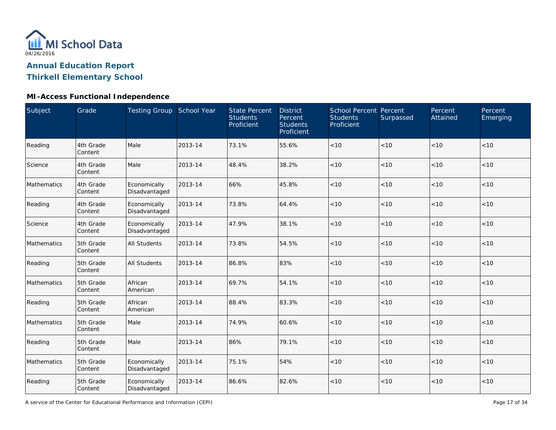

### **Thirkell Elementary School**

### **MI-Access Functional Independence**

| Subject     | Grade                | Testing Group School Year     |         | <b>State Percent</b><br><b>Students</b><br>Proficient | <b>District</b><br>Percent<br><b>Students</b><br>Proficient | School Percent Percent<br><b>Students</b><br>Proficient | Surpassed | Percent<br>Attained | Percent<br>Emerging |
|-------------|----------------------|-------------------------------|---------|-------------------------------------------------------|-------------------------------------------------------------|---------------------------------------------------------|-----------|---------------------|---------------------|
| Reading     | 4th Grade<br>Content | Male                          | 2013-14 | 73.1%                                                 | 55.6%                                                       | $<10$                                                   | < 10      | < 10                | < 10                |
| Science     | 4th Grade<br>Content | Male                          | 2013-14 | 48.4%                                                 | 38.2%                                                       | < 10                                                    | < 10      | < 10                | < 10                |
| Mathematics | 4th Grade<br>Content | Economically<br>Disadvantaged | 2013-14 | 66%                                                   | 45.8%                                                       | < 10                                                    | < 10      | < 10                | < 10                |
| Reading     | 4th Grade<br>Content | Economically<br>Disadvantaged | 2013-14 | 73.8%                                                 | 64.4%                                                       | < 10                                                    | < 10      | < 10                | < 10                |
| Science     | 4th Grade<br>Content | Economically<br>Disadvantaged | 2013-14 | 47.9%                                                 | 38.1%                                                       | < 10                                                    | < 10      | < 10                | < 10                |
| Mathematics | 5th Grade<br>Content | <b>All Students</b>           | 2013-14 | 73.8%                                                 | 54.5%                                                       | < 10                                                    | < 10      | < 10                | < 10                |
| Reading     | 5th Grade<br>Content | <b>All Students</b>           | 2013-14 | 86.8%                                                 | 83%                                                         | < 10                                                    | < 10      | < 10                | < 10                |
| Mathematics | 5th Grade<br>Content | African<br>American           | 2013-14 | 69.7%                                                 | 54.1%                                                       | < 10                                                    | < 10      | < 10                | < 10                |
| Reading     | 5th Grade<br>Content | African<br>American           | 2013-14 | 88.4%                                                 | 83.3%                                                       | < 10                                                    | < 10      | < 10                | < 10                |
| Mathematics | 5th Grade<br>Content | Male                          | 2013-14 | 74.9%                                                 | 60.6%                                                       | $<10$                                                   | < 10      | < 10                | < 10                |
| Reading     | 5th Grade<br>Content | Male                          | 2013-14 | 86%                                                   | 79.1%                                                       | $<10$                                                   | $<10$     | < 10                | < 10                |
| Mathematics | 5th Grade<br>Content | Economically<br>Disadvantaged | 2013-14 | 75.1%                                                 | 54%                                                         | < 10                                                    | < 10      | < 10                | < 10                |
| Reading     | 5th Grade<br>Content | Economically<br>Disadvantaged | 2013-14 | 86.6%                                                 | 82.6%                                                       | < 10                                                    | < 10      | < 10                | < 10                |

A service of the Center for Educational Performance and Information (CEPI)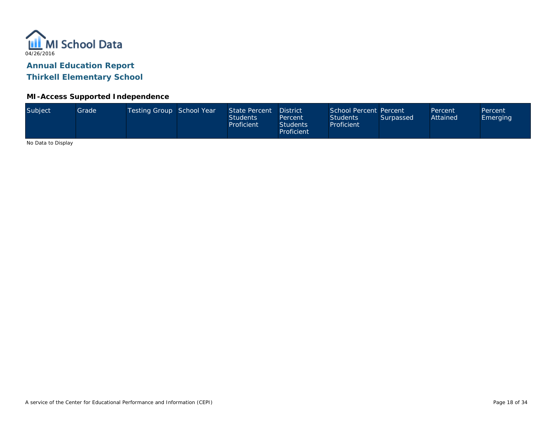

**Thirkell Elementary School**

#### **MI-Access Supported Independence**

| Subject<br>Testing Group School Year<br>School Percent Percent<br>State Percent<br>Grade<br><b>District</b><br>Percent<br>Attained<br><b>Students</b><br><b>Students</b><br>Surpassed<br>Percent<br>Proficient<br>Proficient<br><b>Students</b><br>Proficient | Percent<br>Emerging |  |
|---------------------------------------------------------------------------------------------------------------------------------------------------------------------------------------------------------------------------------------------------------------|---------------------|--|
|---------------------------------------------------------------------------------------------------------------------------------------------------------------------------------------------------------------------------------------------------------------|---------------------|--|

No Data to Display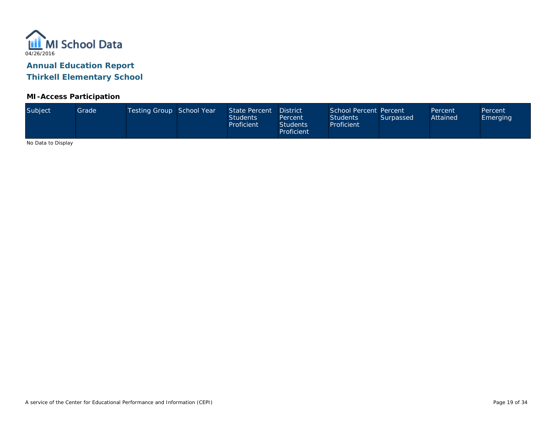

#### **MI-Access Participation**

|  | Subject | Grade | Testing Group School Year |  | State Percent<br><b>Students</b><br>Proficient | District<br>Percent<br>Students<br>Proficient | School Percent Percent<br><b>Students</b><br>Proficient | Surpassed | Percent<br>Attained | Percent<br>Emerging |
|--|---------|-------|---------------------------|--|------------------------------------------------|-----------------------------------------------|---------------------------------------------------------|-----------|---------------------|---------------------|
|--|---------|-------|---------------------------|--|------------------------------------------------|-----------------------------------------------|---------------------------------------------------------|-----------|---------------------|---------------------|

No Data to Display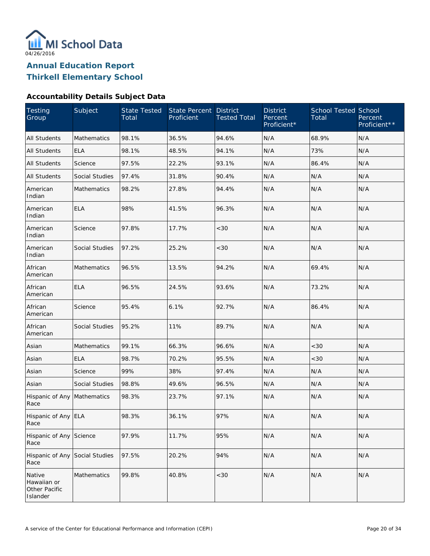

#### **Accountability Details Subject Data**

| Testing<br>Group                                   | Subject               | <b>State Tested</b><br>Total | <b>State Percent</b><br>Proficient | <b>District</b><br><b>Tested Total</b> | <b>District</b><br>Percent<br>Proficient* | <b>School Tested School</b><br>Total | Percent<br>Proficient** |
|----------------------------------------------------|-----------------------|------------------------------|------------------------------------|----------------------------------------|-------------------------------------------|--------------------------------------|-------------------------|
| <b>All Students</b>                                | <b>Mathematics</b>    | 98.1%                        | 36.5%                              | 94.6%                                  | N/A                                       | 68.9%                                | N/A                     |
| <b>All Students</b>                                | <b>ELA</b>            | 98.1%                        | 48.5%                              | 94.1%                                  | N/A                                       | 73%                                  | N/A                     |
| All Students                                       | Science               | 97.5%                        | 22.2%                              | 93.1%                                  | N/A                                       | 86.4%                                | N/A                     |
| <b>All Students</b>                                | Social Studies        | 97.4%                        | 31.8%                              | 90.4%                                  | N/A                                       | N/A                                  | N/A                     |
| American<br>Indian                                 | <b>Mathematics</b>    | 98.2%                        | 27.8%                              | 94.4%                                  | N/A                                       | N/A                                  | N/A                     |
| American<br>Indian                                 | <b>ELA</b>            | 98%                          | 41.5%                              | 96.3%                                  | N/A                                       | N/A                                  | N/A                     |
| American<br>Indian                                 | Science               | 97.8%                        | 17.7%                              | <30                                    | N/A                                       | N/A                                  | N/A                     |
| American<br>Indian                                 | <b>Social Studies</b> | 97.2%                        | 25.2%                              | <30                                    | N/A                                       | N/A                                  | N/A                     |
| African<br>American                                | <b>Mathematics</b>    | 96.5%                        | 13.5%                              | 94.2%                                  | N/A                                       | 69.4%                                | N/A                     |
| African<br>American                                | <b>ELA</b>            | 96.5%                        | 24.5%                              | 93.6%                                  | N/A                                       | 73.2%                                | N/A                     |
| African<br>American                                | Science               | 95.4%                        | 6.1%                               | 92.7%                                  | N/A                                       | 86.4%                                | N/A                     |
| African<br>American                                | Social Studies        | 95.2%                        | 11%                                | 89.7%                                  | N/A                                       | N/A                                  | N/A                     |
| Asian                                              | Mathematics           | 99.1%                        | 66.3%                              | 96.6%                                  | N/A                                       | <30                                  | N/A                     |
| Asian                                              | <b>ELA</b>            | 98.7%                        | 70.2%                              | 95.5%                                  | N/A                                       | <30                                  | N/A                     |
| Asian                                              | Science               | 99%                          | 38%                                | 97.4%                                  | N/A                                       | N/A                                  | N/A                     |
| Asian                                              | Social Studies        | 98.8%                        | 49.6%                              | 96.5%                                  | N/A                                       | N/A                                  | N/A                     |
| Hispanic of Any<br>Race                            | Mathematics           | 98.3%                        | 23.7%                              | 97.1%                                  | N/A                                       | N/A                                  | N/A                     |
| Hispanic of Any ELA<br>Race                        |                       | 98.3%                        | 36.1%                              | 97%                                    | N/A                                       | N/A                                  | N/A                     |
| Hispanic of Any<br>Race                            | Science               | 97.9%                        | 11.7%                              | 95%                                    | N/A                                       | N/A                                  | N/A                     |
| Hispanic of Any<br>Race                            | Social Studies        | 97.5%                        | 20.2%                              | 94%                                    | N/A                                       | N/A                                  | N/A                     |
| Native<br>Hawaiian or<br>Other Pacific<br>Islander | Mathematics           | 99.8%                        | 40.8%                              | <30                                    | N/A                                       | N/A                                  | N/A                     |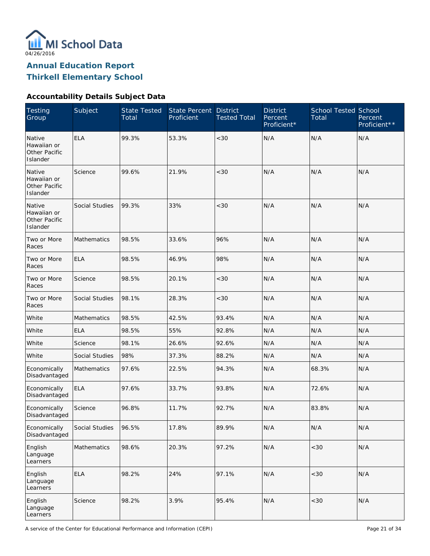

# **Accountability Details Subject Data**

| <b>Testing</b><br>Group                            | Subject            | <b>State Tested</b><br>Total | State Percent<br>Proficient | <b>District</b><br><b>Tested Total</b> | <b>District</b><br>Percent<br>Proficient* | School Tested School<br>Total | Percent<br>Proficient** |
|----------------------------------------------------|--------------------|------------------------------|-----------------------------|----------------------------------------|-------------------------------------------|-------------------------------|-------------------------|
| Native<br>Hawaiian or<br>Other Pacific<br>Islander | <b>ELA</b>         | 99.3%                        | 53.3%                       | <30                                    | N/A                                       | N/A                           | N/A                     |
| Native<br>Hawaiian or<br>Other Pacific<br>Islander | Science            | 99.6%                        | 21.9%                       | <30                                    | N/A                                       | N/A                           | N/A                     |
| Native<br>Hawaiian or<br>Other Pacific<br>Islander | Social Studies     | 99.3%                        | 33%                         | <30                                    | N/A                                       | N/A                           | N/A                     |
| Two or More<br>Races                               | <b>Mathematics</b> | 98.5%                        | 33.6%                       | 96%                                    | N/A                                       | N/A                           | N/A                     |
| Two or More<br>Races                               | <b>ELA</b>         | 98.5%                        | 46.9%                       | 98%                                    | N/A                                       | N/A                           | N/A                     |
| Two or More<br>Races                               | Science            | 98.5%                        | 20.1%                       | <30                                    | N/A                                       | N/A                           | N/A                     |
| Two or More<br>Races                               | Social Studies     | 98.1%                        | 28.3%                       | <30                                    | N/A                                       | N/A                           | N/A                     |
| White                                              | <b>Mathematics</b> | 98.5%                        | 42.5%                       | 93.4%                                  | N/A                                       | N/A                           | N/A                     |
| White                                              | <b>ELA</b>         | 98.5%                        | 55%                         | 92.8%                                  | N/A                                       | N/A                           | N/A                     |
| White                                              | Science            | 98.1%                        | 26.6%                       | 92.6%                                  | N/A                                       | N/A                           | N/A                     |
| White                                              | Social Studies     | 98%                          | 37.3%                       | 88.2%                                  | N/A                                       | N/A                           | N/A                     |
| Economically<br>Disadvantaged                      | <b>Mathematics</b> | 97.6%                        | 22.5%                       | 94.3%                                  | N/A                                       | 68.3%                         | N/A                     |
| Economically<br>Disadvantaged                      | <b>ELA</b>         | 97.6%                        | 33.7%                       | 93.8%                                  | N/A                                       | 72.6%                         | N/A                     |
| Economically<br>Disadvantaged                      | Science            | 96.8%                        | 11.7%                       | 92.7%                                  | N/A                                       | 83.8%                         | N/A                     |
| Economically<br>Disadvantaged                      | Social Studies     | 96.5%                        | 17.8%                       | 89.9%                                  | N/A                                       | N/A                           | N/A                     |
| English<br>Language<br>Learners                    | Mathematics        | 98.6%                        | 20.3%                       | 97.2%                                  | N/A                                       | $<\!30$                       | N/A                     |
| English<br>Language<br>Learners                    | <b>ELA</b>         | 98.2%                        | 24%                         | 97.1%                                  | N/A                                       | $<30$                         | N/A                     |
| English<br>Language<br>Learners                    | Science            | 98.2%                        | 3.9%                        | 95.4%                                  | N/A                                       | <30                           | N/A                     |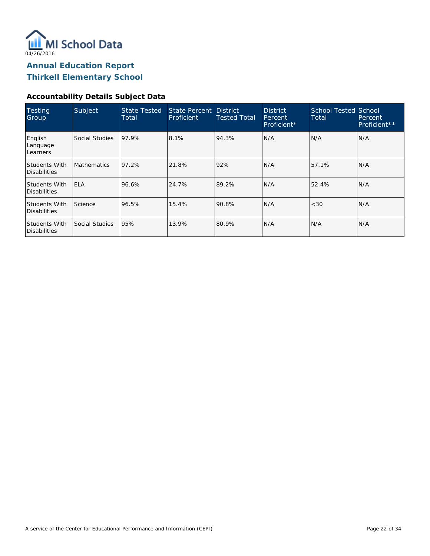

#### **Accountability Details Subject Data**

| <b>Testing</b><br>Group              | Subject            | <b>State Tested</b><br>Total | State Percent District<br>Proficient | <b>Tested Total</b> | <b>District</b><br>Percent<br>Proficient* | <b>School Tested School</b><br>Total | Percent<br>Proficient** |
|--------------------------------------|--------------------|------------------------------|--------------------------------------|---------------------|-------------------------------------------|--------------------------------------|-------------------------|
| English<br>Language<br>Learners      | Social Studies     | 97.9%                        | 8.1%                                 | 94.3%               | N/A                                       | N/A                                  | IN/A                    |
| <b>Students With</b><br>Disabilities | <b>Mathematics</b> | 97.2%                        | 21.8%                                | 92%                 | N/A                                       | 57.1%                                | N/A                     |
| <b>Students With</b><br>Disabilities | <b>ELA</b>         | 96.6%                        | 24.7%                                | 89.2%               | N/A                                       | 52.4%                                | N/A                     |
| <b>Students With</b><br>Disabilities | Science            | 96.5%                        | 15.4%                                | 90.8%               | N/A                                       | <30                                  | IN/A                    |
| <b>Students With</b><br>Disabilities | Social Studies     | 95%                          | 13.9%                                | 80.9%               | N/A                                       | N/A                                  | IN/A                    |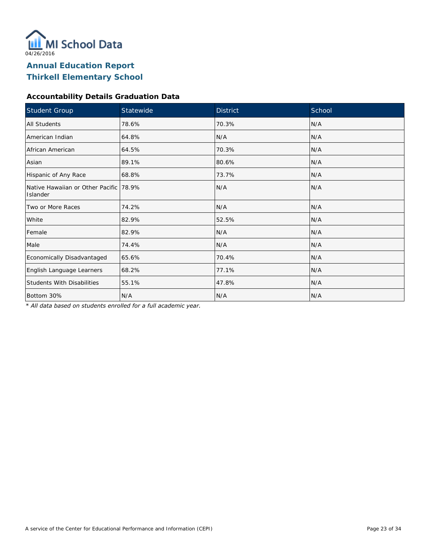

#### **Accountability Details Graduation Data**

| Student Group                                        | Statewide | <b>District</b> | School |
|------------------------------------------------------|-----------|-----------------|--------|
| <b>All Students</b>                                  | 78.6%     | 70.3%           | N/A    |
| American Indian                                      | 64.8%     | N/A             | N/A    |
| African American                                     | 64.5%     | 70.3%           | N/A    |
| Asian                                                | 89.1%     | 80.6%           | N/A    |
| Hispanic of Any Race                                 | 68.8%     | 73.7%           | N/A    |
| Native Hawaiian or Other Pacific   78.9%<br>Islander |           | N/A             | N/A    |
| Two or More Races                                    | 74.2%     | N/A             | N/A    |
| White                                                | 82.9%     | 52.5%           | N/A    |
| Female                                               | 82.9%     | N/A             | N/A    |
| Male                                                 | 74.4%     | N/A             | N/A    |
| Economically Disadvantaged                           | 65.6%     | 70.4%           | N/A    |
| English Language Learners                            | 68.2%     | 77.1%           | N/A    |
| <b>Students With Disabilities</b>                    | 55.1%     | 47.8%           | N/A    |
| Bottom 30%                                           | N/A       | N/A             | N/A    |

*\* All data based on students enrolled for a full academic year.*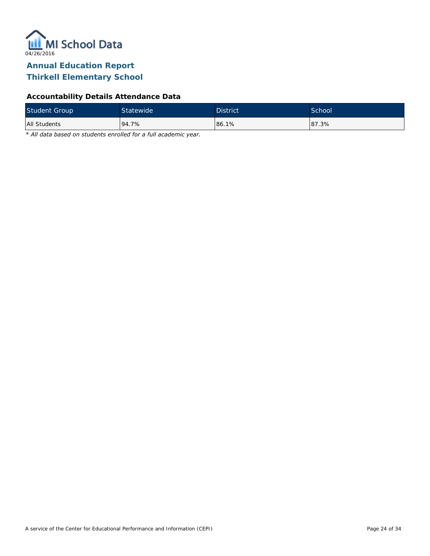

### **Accountability Details Attendance Data**

| <b>Student Group</b> | <b>Statewide</b> | <b>District</b> | School |
|----------------------|------------------|-----------------|--------|
| All Students         | 94.7%            | 86.1%           | 87.3%  |

*\* All data based on students enrolled for a full academic year.*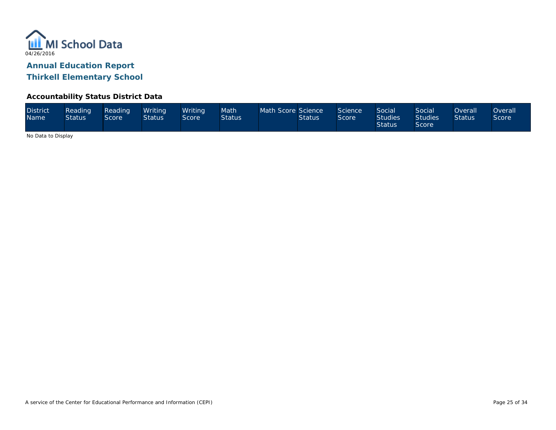

#### **Accountability Status District Data**

| <b>District</b><br><b>Name</b> | Reading<br><b>Status</b> | Reading<br>Score <sup>1</sup> | Writina<br><b>Status</b> | Writina<br>Score | Math<br><b>Status</b> | Math Score Science | <b>Status</b> | Science<br>Score | Social<br><b>Studies</b><br><b>Status</b> | Social<br><b>Studies</b><br><b>Score</b> | <b>Overall</b><br><b>Status</b> | <b>Overall</b><br>Score |
|--------------------------------|--------------------------|-------------------------------|--------------------------|------------------|-----------------------|--------------------|---------------|------------------|-------------------------------------------|------------------------------------------|---------------------------------|-------------------------|
|--------------------------------|--------------------------|-------------------------------|--------------------------|------------------|-----------------------|--------------------|---------------|------------------|-------------------------------------------|------------------------------------------|---------------------------------|-------------------------|

No Data to Display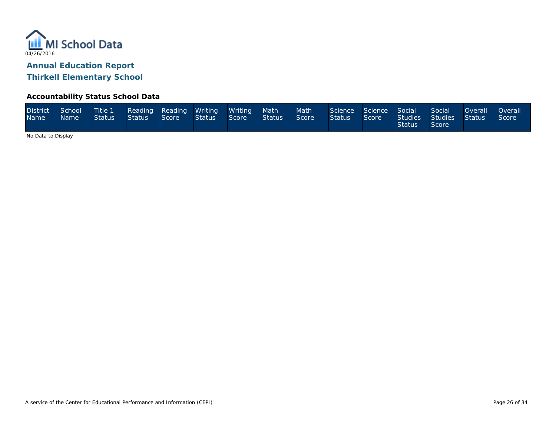

### **Accountability Status School Data**

| <b>District</b><br><b>Name</b> | School<br><b>Name</b> | Title 1<br>Status | Reading Reading Writing<br>Status | Score | Status | <b>Writing</b><br>Score | Math<br>Status | Math<br>Score | Science<br><b>Status</b> | Science Social<br>Score | Studies<br>Status | Social<br>Studies <sup>1</sup><br>Score <b>S</b> | <b>Overall</b><br><b>Status</b> | <b>Overall</b><br>Score |
|--------------------------------|-----------------------|-------------------|-----------------------------------|-------|--------|-------------------------|----------------|---------------|--------------------------|-------------------------|-------------------|--------------------------------------------------|---------------------------------|-------------------------|
|--------------------------------|-----------------------|-------------------|-----------------------------------|-------|--------|-------------------------|----------------|---------------|--------------------------|-------------------------|-------------------|--------------------------------------------------|---------------------------------|-------------------------|

No Data to Display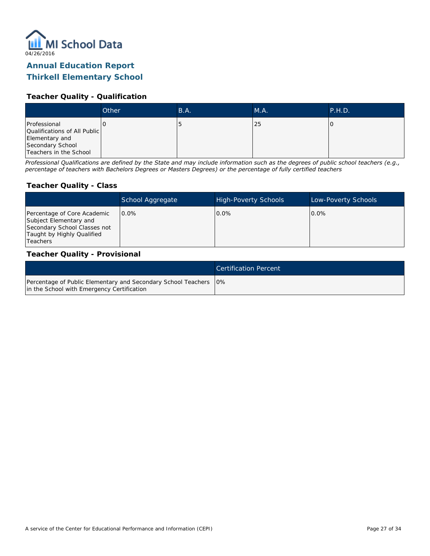

### **Thirkell Elementary School**

#### **Teacher Quality - Qualification**

|                                                                                                              | Other | B.A. | MA. | <b>P.H.D.</b> |
|--------------------------------------------------------------------------------------------------------------|-------|------|-----|---------------|
| Professional<br>Qualifications of All Public<br>Elementary and<br>Secondary School<br>Teachers in the School |       |      | 25  |               |

*Professional Qualifications are defined by the State and may include information such as the degrees of public school teachers (e.g., percentage of teachers with Bachelors Degrees or Masters Degrees) or the percentage of fully certified teachers*

#### **Teacher Quality - Class**

|                                                                                                                                   | School Aggregate | <b>High-Poverty Schools</b> | Low-Poverty Schools |
|-----------------------------------------------------------------------------------------------------------------------------------|------------------|-----------------------------|---------------------|
| Percentage of Core Academic<br>Subject Elementary and<br>Secondary School Classes not<br>Taught by Highly Qualified<br>l Teachers | $0.0\%$          | $0.0\%$                     | $0.0\%$             |

#### **Teacher Quality - Provisional**

|                                                                                                                  | <b>Certification Percent</b> |
|------------------------------------------------------------------------------------------------------------------|------------------------------|
| Percentage of Public Elementary and Secondary School Teachers   0%<br>in the School with Emergency Certification |                              |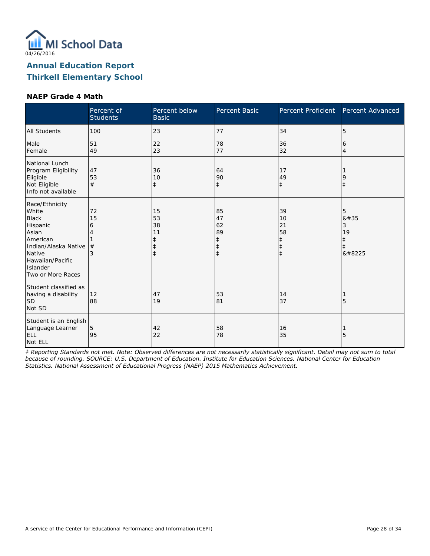

#### **NAEP Grade 4 Math**

|                                                                                                                                                                 | Percent of<br><b>Students</b> | Percent below<br><b>Basic</b>                    | Percent Basic                                         | Percent Proficient                                             | Percent Advanced               |
|-----------------------------------------------------------------------------------------------------------------------------------------------------------------|-------------------------------|--------------------------------------------------|-------------------------------------------------------|----------------------------------------------------------------|--------------------------------|
| <b>All Students</b>                                                                                                                                             | 100                           | 23                                               | 77                                                    | 34                                                             | 5                              |
| Male<br>Female                                                                                                                                                  | 51<br>49                      | 22<br>23                                         | 78<br>77                                              | 36<br>32                                                       | 6<br>$\overline{4}$            |
| National Lunch<br>Program Eligibility<br>Eligible<br>Not Eligible<br>Info not available                                                                         | 47<br>53<br>#                 | 36<br>10<br>$\ddagger$                           | 64<br>90<br>$\ddagger$                                | 17<br>49<br>$\ddagger$                                         | 9<br>$\ddagger$                |
| Race/Ethnicity<br>White<br><b>Black</b><br>Hispanic<br>Asian<br>American<br>Indian/Alaska Native<br>Native<br>Hawaiian/Pacific<br>Islander<br>Two or More Races | 72<br>15<br>6<br>4<br>#<br>3  | 15<br>53<br>38<br>11<br>$\ddagger$<br>$\ddagger$ | 85<br>47<br>62<br>89<br>$\ddagger$<br>ŧ<br>$\ddagger$ | 39<br>10<br>21<br>58<br>$\ddagger$<br>$\ddagger$<br>$\ddagger$ | 5<br>8#35<br>3<br>19<br>‡<br>‡ |
| Student classified as<br>having a disability<br><b>SD</b><br>Not SD                                                                                             | 12<br>88                      | 47<br>19                                         | 53<br>81                                              | 14<br>37                                                       | 5                              |
| Student is an English<br>Language Learner<br><b>ELL</b><br>Not ELL                                                                                              | 5<br>95                       | 42<br>22                                         | 58<br>78                                              | 16<br>35                                                       | 5                              |

*‡ Reporting Standards not met. Note: Observed differences are not necessarily statistically significant. Detail may not sum to total because of rounding. SOURCE: U.S. Department of Education. Institute for Education Sciences. National Center for Education Statistics. National Assessment of Educational Progress (NAEP) 2015 Mathematics Achievement.*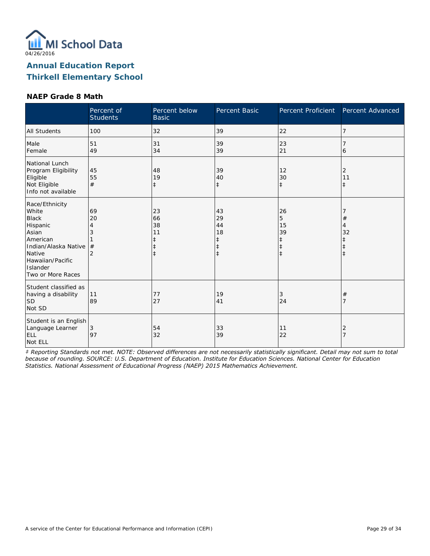

#### **NAEP Grade 8 Math**

|                                                                                                                                                                 | Percent of<br><b>Students</b>             | Percent below<br><b>Basic</b>                                  | Percent Basic                                         | Percent Proficient                                   | Percent Advanced      |
|-----------------------------------------------------------------------------------------------------------------------------------------------------------------|-------------------------------------------|----------------------------------------------------------------|-------------------------------------------------------|------------------------------------------------------|-----------------------|
| <b>All Students</b>                                                                                                                                             | 100                                       | 32                                                             | 39                                                    | 22                                                   | 7                     |
| Male<br>Female                                                                                                                                                  | 51<br>49                                  | 31<br>34                                                       | 39<br>39                                              | 23<br>21                                             | 6                     |
| National Lunch<br>Program Eligibility<br>Eligible<br>Not Eligible<br>Info not available                                                                         | 45<br>55<br>#                             | 48<br>19<br>$\ddagger$                                         | 39<br>40<br>$\ddagger$                                | 12<br>30<br>$\ddagger$                               | 2<br>11<br>$\ddagger$ |
| Race/Ethnicity<br>White<br><b>Black</b><br>Hispanic<br>Asian<br>American<br>Indian/Alaska Native<br>Native<br>Hawaiian/Pacific<br>Islander<br>Two or More Races | 69<br>20<br>4<br>3<br>#<br>$\overline{2}$ | 23<br>66<br>38<br>11<br>$\ddagger$<br>$\ddagger$<br>$\ddagger$ | 43<br>29<br>44<br>18<br>$\ddagger$<br>ŧ<br>$\ddagger$ | 26<br>5<br>15<br>39<br>‡<br>$\ddagger$<br>$\ddagger$ | $^{\#}$<br>4<br>32    |
| Student classified as<br>having a disability<br>SD <sup> </sup><br>Not SD                                                                                       | 11<br>89                                  | 77<br>27                                                       | 19<br>41                                              | 3<br>24                                              | $^{\#}$               |
| Student is an English<br>Language Learner<br><b>ELL</b><br>Not ELL                                                                                              | 3<br>97                                   | 54<br>32                                                       | 33<br>39                                              | 11<br>22                                             | 2                     |

*‡ Reporting Standards not met. NOTE: Observed differences are not necessarily statistically significant. Detail may not sum to total because of rounding. SOURCE: U.S. Department of Education. Institute for Education Sciences. National Center for Education Statistics. National Assessment of Educational Progress (NAEP) 2015 Mathematics Achievement.*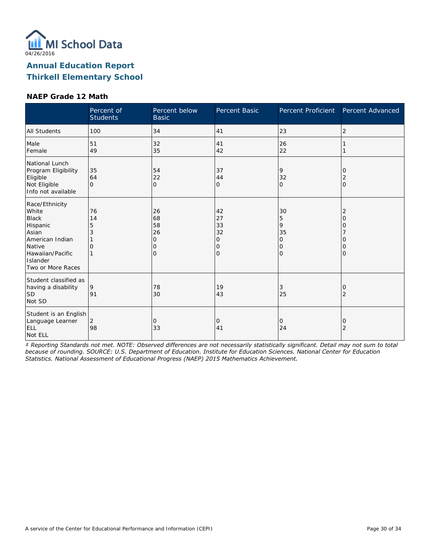

#### **NAEP Grade 12 Math**

|                                                                                                                                                | Percent of<br><b>Students</b> | Percent below<br><b>Basic</b>       | Percent Basic                                   | Percent Proficient                                              | Percent Advanced                  |
|------------------------------------------------------------------------------------------------------------------------------------------------|-------------------------------|-------------------------------------|-------------------------------------------------|-----------------------------------------------------------------|-----------------------------------|
| All Students                                                                                                                                   | 100                           | 34                                  | 41                                              | 23                                                              | $\overline{2}$                    |
| Male<br>Female                                                                                                                                 | 51<br>49                      | 32<br>35                            | 41<br>42                                        | 26<br>22                                                        |                                   |
| National Lunch<br>Program Eligibility<br>Eligible<br>Not Eligible<br>Info not available                                                        | 35<br>64<br>$\Omega$          | 54<br>22<br>l0                      | 37<br>44<br>0                                   | 9<br>32<br>$\Omega$                                             | 0<br>2<br>l0                      |
| Race/Ethnicity<br>White<br><b>Black</b><br>Hispanic<br>Asian<br>American Indian<br>Native<br>Hawaiian/Pacific<br>Islander<br>Two or More Races | 76<br>14<br>5<br>3<br>Ω       | 26<br>68<br>58<br>26<br>0<br>0<br>0 | 42<br>27<br>33<br>32<br>0<br>0<br>$\mathcal{O}$ | 30<br>5<br>9<br>35<br>$\Omega$<br>$\mathbf 0$<br>$\overline{O}$ | 2<br>O<br>O<br>O<br>O<br>$\Omega$ |
| Student classified as<br>having a disability<br><b>SD</b><br>Not SD                                                                            | 9<br>91                       | 78<br>30                            | 19<br>43                                        | 3<br>25                                                         | 0<br>2                            |
| Student is an English<br>Language Learner<br><b>ELL</b><br>Not ELL                                                                             | 2<br>98                       | $\overline{0}$<br>33                | 0<br>41                                         | $\mathbf 0$<br>24                                               | 0<br>$\overline{2}$               |

*‡ Reporting Standards not met. NOTE: Observed differences are not necessarily statistically significant. Detail may not sum to total because of rounding. SOURCE: U.S. Department of Education. Institute for Education Sciences. National Center for Education Statistics. National Assessment of Educational Progress (NAEP) 2015 Mathematics Achievement.*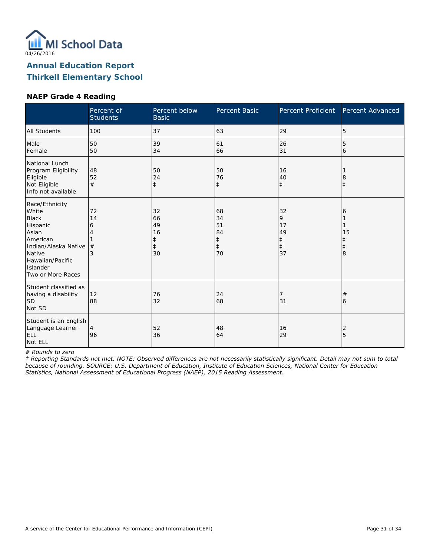

#### **NAEP Grade 4 Reading**

|                                                                                                                                                                 | Percent of<br><b>Students</b> | Percent below<br><b>Basic</b>                          | Percent Basic                                          | Percent Proficient                                    | Percent Advanced                         |
|-----------------------------------------------------------------------------------------------------------------------------------------------------------------|-------------------------------|--------------------------------------------------------|--------------------------------------------------------|-------------------------------------------------------|------------------------------------------|
| <b>All Students</b>                                                                                                                                             | 100                           | 37                                                     | 63                                                     | 29                                                    | 5                                        |
| Male<br>Female                                                                                                                                                  | 50<br>50                      | 39<br>34                                               | 61<br>66                                               | 26<br>31                                              | 5<br>6                                   |
| National Lunch<br>Program Eligibility<br>Eligible<br>Not Eligible<br>Info not available                                                                         | 48<br>52<br>#                 | 50<br>24<br>$\ddagger$                                 | 50<br>76<br>$\ddagger$                                 | 16<br>40<br>$\ddagger$                                | 8<br>$\ddagger$                          |
| Race/Ethnicity<br>White<br><b>Black</b><br>Hispanic<br>Asian<br>American<br>Indian/Alaska Native<br>Native<br>Hawaiian/Pacific<br>Islander<br>Two or More Races | 72<br>14<br>6<br>4<br>#<br>3  | 32<br>66<br>49<br>16<br>$\ddagger$<br>$\ddagger$<br>30 | 68<br>34<br>51<br>84<br>$\ddagger$<br>$\ddagger$<br>70 | 32<br>9<br>17<br>49<br>$\ddagger$<br>$\ddagger$<br>37 | 6<br>15<br>$\ddagger$<br>$\ddagger$<br>8 |
| Student classified as<br>having a disability<br>lsd<br>Not SD                                                                                                   | 12<br>88                      | 76<br>32                                               | 24<br>68                                               | 7<br>31                                               | $^{\#}$<br>6                             |
| Student is an English<br>Language Learner<br>ELL<br>Not ELL                                                                                                     | $\overline{4}$<br>96          | 52<br>36                                               | 48<br>64                                               | 16<br>29                                              | 2<br>5                                   |

*# Rounds to zero*

*‡ Reporting Standards not met. NOTE: Observed differences are not necessarily statistically significant. Detail may not sum to total because of rounding. SOURCE: U.S. Department of Education, Institute of Education Sciences, National Center for Education Statistics, National Assessment of Educational Progress (NAEP), 2015 Reading Assessment.*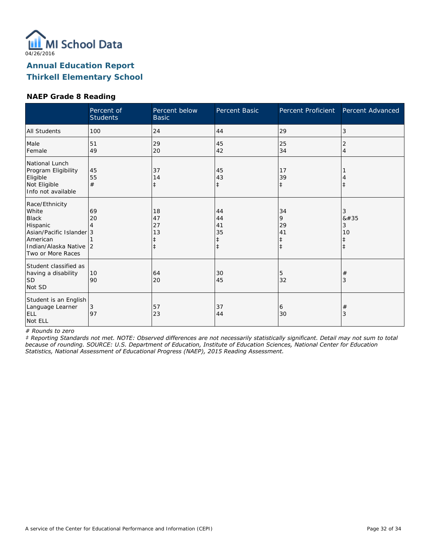

### **NAEP Grade 8 Reading**

|                                                                                                                                            | Percent of<br><b>Students</b> | Percent below<br><b>Basic</b>    | Percent Basic                      | Percent Proficient                              | Percent Advanced                        |
|--------------------------------------------------------------------------------------------------------------------------------------------|-------------------------------|----------------------------------|------------------------------------|-------------------------------------------------|-----------------------------------------|
| All Students                                                                                                                               | 100                           | 24                               | 44                                 | 29                                              | 3                                       |
| Male<br>Female                                                                                                                             | 51<br>49                      | 29<br>20                         | 45<br>42                           | 25<br>34                                        | 2<br>$\overline{4}$                     |
| National Lunch<br>Program Eligibility<br>Eligible<br>Not Eligible<br>Info not available                                                    | 45<br>55<br>#                 | 37<br>14<br>$\ddagger$           | 45<br>43<br>$\ddagger$             | 17<br>39<br>$\ddagger$                          | $\ddagger$                              |
| Race/Ethnicity<br>White<br><b>Black</b><br>Hispanic<br>Asian/Pacific Islander 3<br>American<br>Indian/Alaska Native 2<br>Two or More Races | 69<br>20                      | 18<br>47<br>27<br>13<br>$^\ddag$ | 44<br>44<br>41<br>35<br>$\ddagger$ | 34<br>9<br>29<br>41<br>$\ddagger$<br>$\ddagger$ | 3<br>8#35<br>3<br>10<br>ŧ<br>$\ddagger$ |
| Student classified as<br>having a disability<br><b>SD</b><br>Not SD                                                                        | 10<br>90                      | 64<br>20                         | 30<br>45                           | 5<br>32                                         | $\#$<br>3                               |
| Student is an English<br>Language Learner<br><b>ELL</b><br>Not ELL                                                                         | 3<br>97                       | 57<br>23                         | 37<br>44                           | 6<br>30                                         | $\#$<br>3                               |

*# Rounds to zero*

*‡ Reporting Standards not met. NOTE: Observed differences are not necessarily statistically significant. Detail may not sum to total because of rounding. SOURCE: U.S. Department of Education, Institute of Education Sciences, National Center for Education Statistics, National Assessment of Educational Progress (NAEP), 2015 Reading Assessment.*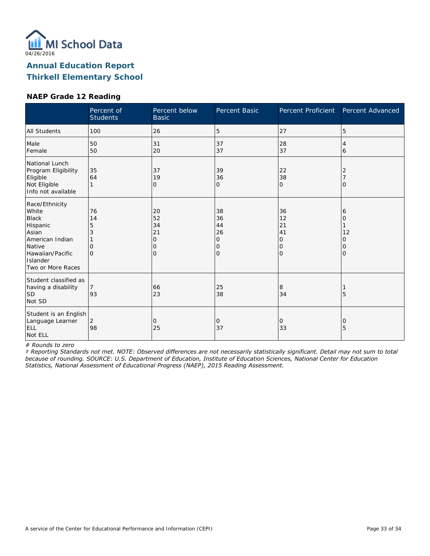

### **NAEP Grade 12 Reading**

|                                                                                                                                                | Percent of<br><b>Students</b>              | Percent below<br><b>Basic</b>       | <b>Percent Basic</b>                       | Percent Proficient                               | Percent Advanced            |
|------------------------------------------------------------------------------------------------------------------------------------------------|--------------------------------------------|-------------------------------------|--------------------------------------------|--------------------------------------------------|-----------------------------|
| <b>All Students</b>                                                                                                                            | 100                                        | 26                                  | 5                                          | 27                                               | 5                           |
| Male<br>Female                                                                                                                                 | 50<br>50                                   | 31<br>20                            | 37<br>37                                   | 28<br>37                                         | 4<br>6                      |
| National Lunch<br>Program Eligibility<br>Eligible<br>Not Eligible<br>Info not available                                                        | 35<br>64                                   | 37<br>19<br>$\Omega$                | 39<br>36<br>$\Omega$                       | 22<br>38<br>$\Omega$                             | 2<br>$\Omega$               |
| Race/Ethnicity<br>White<br><b>Black</b><br>Hispanic<br>Asian<br>American Indian<br>Native<br>Hawaiian/Pacific<br>Islander<br>Two or More Races | 76<br>14<br>5<br>3<br>$\Omega$<br>$\Omega$ | 20<br>52<br>34<br>21<br>0<br>Ω<br>Ω | 38<br>36<br>44<br>26<br>0<br>0<br>$\Omega$ | 36<br>12<br>21<br>41<br>0<br>$\circ$<br>$\Omega$ | 6<br>0<br>12<br>Ω<br>0<br>Ω |
| Student classified as<br>having a disability<br>SD <br>Not SD                                                                                  | 7<br>93                                    | 66<br>23                            | 25<br>38                                   | 8<br>34                                          | 5                           |
| Student is an English<br>Language Learner<br>ELL<br>Not ELL                                                                                    | 2<br>98                                    | 0<br>25                             | 0<br>37                                    | $\circ$<br>33                                    | 0<br>5                      |

*# Rounds to zero*

*‡ Reporting Standards not met. NOTE: Observed differences are not necessarily statistically significant. Detail may not sum to total because of rounding. SOURCE: U.S. Department of Education, Institute of Education Sciences, National Center for Education Statistics, National Assessment of Educational Progress (NAEP), 2015 Reading Assessment.*